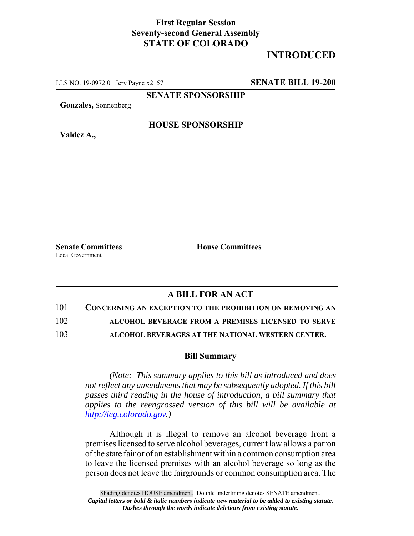## **First Regular Session Seventy-second General Assembly STATE OF COLORADO**

## **INTRODUCED**

LLS NO. 19-0972.01 Jery Payne x2157 **SENATE BILL 19-200**

**SENATE SPONSORSHIP**

**Gonzales,** Sonnenberg

**HOUSE SPONSORSHIP**

**Valdez A.,**

**Senate Committees House Committees** Local Government

## **A BILL FOR AN ACT**

101 **CONCERNING AN EXCEPTION TO THE PROHIBITION ON REMOVING AN**

102 **ALCOHOL BEVERAGE FROM A PREMISES LICENSED TO SERVE**

103 **ALCOHOL BEVERAGES AT THE NATIONAL WESTERN CENTER.**

## **Bill Summary**

*(Note: This summary applies to this bill as introduced and does not reflect any amendments that may be subsequently adopted. If this bill passes third reading in the house of introduction, a bill summary that applies to the reengrossed version of this bill will be available at http://leg.colorado.gov.)*

Although it is illegal to remove an alcohol beverage from a premises licensed to serve alcohol beverages, current law allows a patron of the state fair or of an establishment within a common consumption area to leave the licensed premises with an alcohol beverage so long as the person does not leave the fairgrounds or common consumption area. The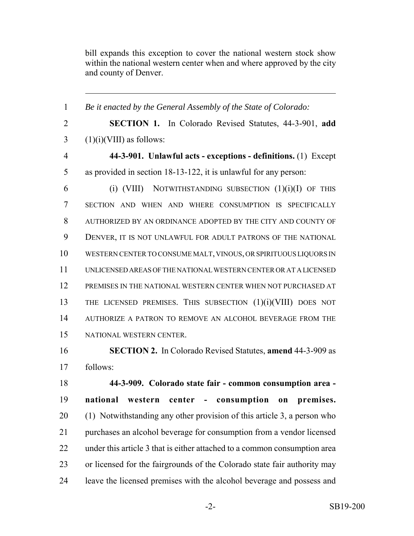bill expands this exception to cover the national western stock show within the national western center when and where approved by the city and county of Denver.

 *Be it enacted by the General Assembly of the State of Colorado:* **SECTION 1.** In Colorado Revised Statutes, 44-3-901, **add**  $3 \quad (1)(i)(VIII)$  as follows: **44-3-901. Unlawful acts - exceptions - definitions.** (1) Except as provided in section 18-13-122, it is unlawful for any person: 6 (i) (VIII) NOTWITHSTANDING SUBSECTION  $(1)(i)(I)$  OF THIS SECTION AND WHEN AND WHERE CONSUMPTION IS SPECIFICALLY AUTHORIZED BY AN ORDINANCE ADOPTED BY THE CITY AND COUNTY OF DENVER, IT IS NOT UNLAWFUL FOR ADULT PATRONS OF THE NATIONAL WESTERN CENTER TO CONSUME MALT, VINOUS, OR SPIRITUOUS LIQUORS IN UNLICENSED AREAS OF THE NATIONAL WESTERN CENTER OR AT A LICENSED PREMISES IN THE NATIONAL WESTERN CENTER WHEN NOT PURCHASED AT THE LICENSED PREMISES. THIS SUBSECTION (1)(i)(VIII) DOES NOT AUTHORIZE A PATRON TO REMOVE AN ALCOHOL BEVERAGE FROM THE NATIONAL WESTERN CENTER. **SECTION 2.** In Colorado Revised Statutes, **amend** 44-3-909 as follows:

 **44-3-909. Colorado state fair - common consumption area - national western center - consumption on premises.** (1) Notwithstanding any other provision of this article 3, a person who purchases an alcohol beverage for consumption from a vendor licensed under this article 3 that is either attached to a common consumption area or licensed for the fairgrounds of the Colorado state fair authority may leave the licensed premises with the alcohol beverage and possess and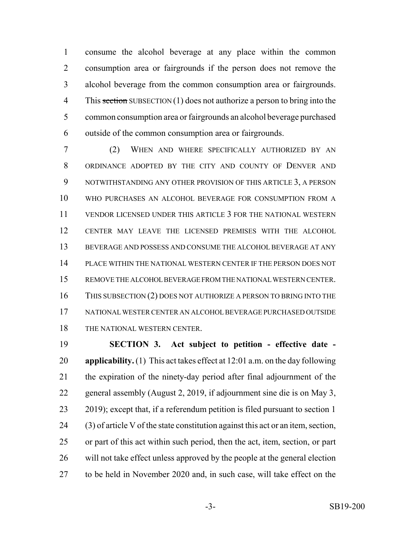consume the alcohol beverage at any place within the common consumption area or fairgrounds if the person does not remove the alcohol beverage from the common consumption area or fairgrounds. 4 This section SUBSECTION (1) does not authorize a person to bring into the common consumption area or fairgrounds an alcohol beverage purchased outside of the common consumption area or fairgrounds.

 (2) WHEN AND WHERE SPECIFICALLY AUTHORIZED BY AN ORDINANCE ADOPTED BY THE CITY AND COUNTY OF DENVER AND NOTWITHSTANDING ANY OTHER PROVISION OF THIS ARTICLE 3, A PERSON WHO PURCHASES AN ALCOHOL BEVERAGE FOR CONSUMPTION FROM A VENDOR LICENSED UNDER THIS ARTICLE 3 FOR THE NATIONAL WESTERN CENTER MAY LEAVE THE LICENSED PREMISES WITH THE ALCOHOL BEVERAGE AND POSSESS AND CONSUME THE ALCOHOL BEVERAGE AT ANY PLACE WITHIN THE NATIONAL WESTERN CENTER IF THE PERSON DOES NOT REMOVE THE ALCOHOL BEVERAGE FROM THE NATIONAL WESTERN CENTER. 16 THIS SUBSECTION (2) DOES NOT AUTHORIZE A PERSON TO BRING INTO THE NATIONAL WESTER CENTER AN ALCOHOL BEVERAGE PURCHASED OUTSIDE 18 THE NATIONAL WESTERN CENTER.

 **SECTION 3. Act subject to petition - effective date - applicability.** (1) This act takes effect at 12:01 a.m. on the day following the expiration of the ninety-day period after final adjournment of the general assembly (August 2, 2019, if adjournment sine die is on May 3, 2019); except that, if a referendum petition is filed pursuant to section 1 (3) of article V of the state constitution against this act or an item, section, or part of this act within such period, then the act, item, section, or part will not take effect unless approved by the people at the general election to be held in November 2020 and, in such case, will take effect on the